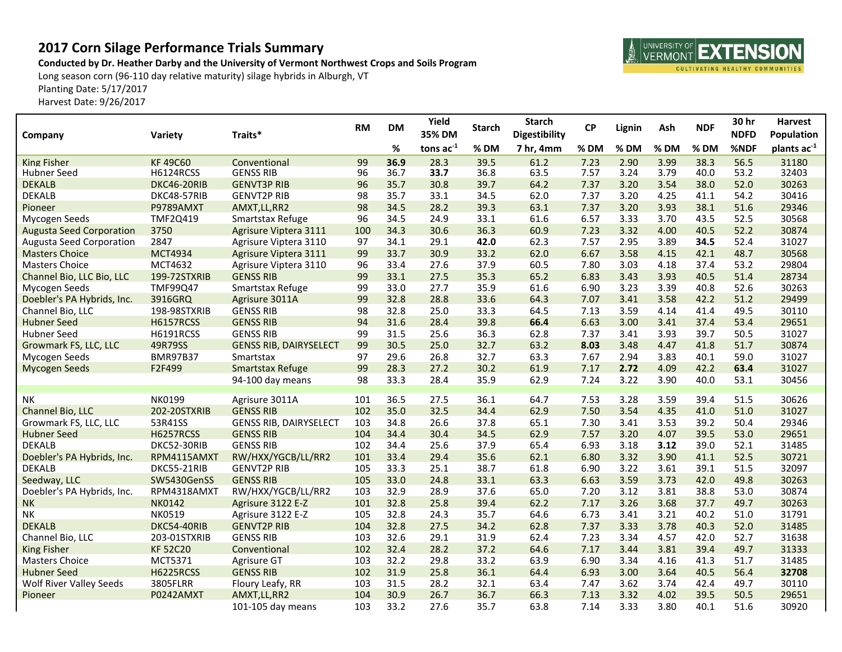## **2017 Corn Silage Performance Trials Summary**

**Conducted by Dr. Heather Darby and the University of Vermont Northwest Crops and Soils Program**

Long season corn (96-110 day relative maturity) silage hybrids in Alburgh, VT Planting Date: 5/17/2017

Harvest Date: 9/26/2017

| Company                         | Variety          | Traits*                       | <b>RM</b> | <b>DM</b> | Yield<br>35% DM | <b>Starch</b> | <b>Starch</b><br><b>Digestibility</b> | <b>CP</b> | Lignin | Ash  | <b>NDF</b> | 30 hr<br><b>NDFD</b> | <b>Harvest</b><br>Population |
|---------------------------------|------------------|-------------------------------|-----------|-----------|-----------------|---------------|---------------------------------------|-----------|--------|------|------------|----------------------|------------------------------|
|                                 |                  |                               |           | %         | tons $ac^{-1}$  | %DM           | 7 hr, 4mm                             | % DM      | % DM   | % DM | % DM       | %NDF                 | plants ac <sup>-1</sup>      |
| <b>King Fisher</b>              | <b>KF49C60</b>   | Conventional                  | 99        | 36.9      | 28.3            | 39.5          | 61.2                                  | 7.23      | 2.90   | 3.99 | 38.3       | 56.5                 | 31180                        |
| <b>Hubner Seed</b>              | <b>H6124RCSS</b> | <b>GENSS RIB</b>              | 96        | 36.7      | 33.7            | 36.8          | 63.5                                  | 7.57      | 3.24   | 3.79 | 40.0       | 53.2                 | 32403                        |
| <b>DEKALB</b>                   | DKC46-20RIB      | <b>GENVT3P RIB</b>            | 96        | 35.7      | 30.8            | 39.7          | 64.2                                  | 7.37      | 3.20   | 3.54 | 38.0       | 52.0                 | 30263                        |
| <b>DEKALB</b>                   | DKC48-57RIB      | <b>GENVT2P RIB</b>            | 98        | 35.7      | 33.1            | 34.5          | 62.0                                  | 7.37      | 3.20   | 4.25 | 41.1       | 54.2                 | 30416                        |
| Pioneer                         | P9789AMXT        | AMXT, LL, RR2                 | 98        | 34.5      | 28.2            | 39.3          | 63.1                                  | 7.37      | 3.20   | 3.93 | 38.1       | 51.6                 | 29346                        |
| Mycogen Seeds                   | TMF2Q419         | Smartstax Refuge              | 96        | 34.5      | 24.9            | 33.1          | 61.6                                  | 6.57      | 3.33   | 3.70 | 43.5       | 52.5                 | 30568                        |
| <b>Augusta Seed Corporation</b> | 3750             | Agrisure Viptera 3111         | 100       | 34.3      | 30.6            | 36.3          | 60.9                                  | 7.23      | 3.32   | 4.00 | 40.5       | 52.2                 | 30874                        |
| <b>Augusta Seed Corporation</b> | 2847             | Agrisure Viptera 3110         | 97        | 34.1      | 29.1            | 42.0          | 62.3                                  | 7.57      | 2.95   | 3.89 | 34.5       | 52.4                 | 31027                        |
| <b>Masters Choice</b>           | <b>MCT4934</b>   | Agrisure Viptera 3111         | 99        | 33.7      | 30.9            | 33.2          | 62.0                                  | 6.67      | 3.58   | 4.15 | 42.1       | 48.7                 | 30568                        |
| <b>Masters Choice</b>           | MCT4632          | Agrisure Viptera 3110         | 96        | 33.4      | 27.6            | 37.9          | 60.5                                  | 7.80      | 3.03   | 4.18 | 37.4       | 53.2                 | 29804                        |
| Channel Bio, LLC Bio, LLC       | 199-72STXRIB     | <b>GENSS RIB</b>              | 99        | 33.1      | 27.5            | 35.3          | 65.2                                  | 6.83      | 3.43   | 3.93 | 40.5       | 51.4                 | 28734                        |
| Mycogen Seeds                   | TMF99Q47         | Smartstax Refuge              | 99        | 33.0      | 27.7            | 35.9          | 61.6                                  | 6.90      | 3.23   | 3.39 | 40.8       | 52.6                 | 30263                        |
| Doebler's PA Hybrids, Inc.      | 3916GRQ          | Agrisure 3011A                | 99        | 32.8      | 28.8            | 33.6          | 64.3                                  | 7.07      | 3.41   | 3.58 | 42.2       | 51.2                 | 29499                        |
| Channel Bio, LLC                | 198-98STXRIB     | <b>GENSS RIB</b>              | 98        | 32.8      | 25.0            | 33.3          | 64.5                                  | 7.13      | 3.59   | 4.14 | 41.4       | 49.5                 | 30110                        |
| <b>Hubner Seed</b>              | <b>H6157RCSS</b> | <b>GENSS RIB</b>              | 94        | 31.6      | 28.4            | 39.8          | 66.4                                  | 6.63      | 3.00   | 3.41 | 37.4       | 53.4                 | 29651                        |
| <b>Hubner Seed</b>              | H6191RCSS        | <b>GENSS RIB</b>              | 99        | 31.5      | 25.6            | 36.3          | 62.8                                  | 7.37      | 3.41   | 3.93 | 39.7       | 50.5                 | 31027                        |
| Growmark FS, LLC, LLC           | 49R79SS          | <b>GENSS RIB, DAIRYSELECT</b> | 99        | 30.5      | 25.0            | 32.7          | 63.2                                  | 8.03      | 3.48   | 4.47 | 41.8       | 51.7                 | 30874                        |
| Mycogen Seeds                   | <b>BMR97B37</b>  | Smartstax                     | 97        | 29.6      | 26.8            | 32.7          | 63.3                                  | 7.67      | 2.94   | 3.83 | 40.1       | 59.0                 | 31027                        |
| <b>Mycogen Seeds</b>            | F2F499           | <b>Smartstax Refuge</b>       | 99        | 28.3      | 27.2            | 30.2          | 61.9                                  | 7.17      | 2.72   | 4.09 | 42.2       | 63.4                 | 31027                        |
|                                 |                  | 94-100 day means              | 98        | 33.3      | 28.4            | 35.9          | 62.9                                  | 7.24      | 3.22   | 3.90 | 40.0       | 53.1                 | 30456                        |
| <b>NK</b>                       | NK0199           | Agrisure 3011A                | 101       | 36.5      | 27.5            | 36.1          | 64.7                                  | 7.53      | 3.28   | 3.59 | 39.4       | 51.5                 | 30626                        |
| Channel Bio, LLC                | 202-20STXRIB     | <b>GENSS RIB</b>              | 102       | 35.0      | 32.5            | 34.4          | 62.9                                  | 7.50      | 3.54   | 4.35 | 41.0       | 51.0                 | 31027                        |
| Growmark FS, LLC, LLC           | 53R41SS          | <b>GENSS RIB, DAIRYSELECT</b> | 103       | 34.8      | 26.6            | 37.8          | 65.1                                  | 7.30      | 3.41   | 3.53 | 39.2       | 50.4                 | 29346                        |
| <b>Hubner Seed</b>              | <b>H6257RCSS</b> | <b>GENSS RIB</b>              | 104       | 34.4      | 30.4            | 34.5          | 62.9                                  | 7.57      | 3.20   | 4.07 | 39.5       | 53.0                 | 29651                        |
| <b>DEKALB</b>                   | DKC52-30RIB      | <b>GENSS RIB</b>              | 102       | 34.4      | 25.6            | 37.9          | 65.4                                  | 6.93      | 3.18   | 3.12 | 39.0       | 52.1                 | 31485                        |
| Doebler's PA Hybrids, Inc.      | RPM4115AMXT      | RW/HXX/YGCB/LL/RR2            | 101       | 33.4      | 29.4            | 35.6          | 62.1                                  | 6.80      | 3.32   | 3.90 | 41.1       | 52.5                 | 30721                        |
| <b>DEKALB</b>                   | DKC55-21RIB      | <b>GENVT2P RIB</b>            | 105       | 33.3      | 25.1            | 38.7          | 61.8                                  | 6.90      | 3.22   | 3.61 | 39.1       | 51.5                 | 32097                        |
| Seedway, LLC                    | SW5430GenSS      | <b>GENSS RIB</b>              | 105       | 33.0      | 24.8            | 33.1          | 63.3                                  | 6.63      | 3.59   | 3.73 | 42.0       | 49.8                 | 30263                        |
| Doebler's PA Hybrids, Inc.      | RPM4318AMXT      | RW/HXX/YGCB/LL/RR2            | 103       | 32.9      | 28.9            | 37.6          | 65.0                                  | 7.20      | 3.12   | 3.81 | 38.8       | 53.0                 | 30874                        |
| <b>NK</b>                       | <b>NK0142</b>    | Agrisure 3122 E-Z             | 101       | 32.8      | 25.8            | 39.4          | 62.2                                  | 7.17      | 3.26   | 3.68 | 37.7       | 49.7                 | 30263                        |
| NΚ                              | <b>NK0519</b>    | Agrisure 3122 E-Z             | 105       | 32.8      | 24.3            | 35.7          | 64.6                                  | 6.73      | 3.41   | 3.21 | 40.2       | 51.0                 | 31791                        |
| <b>DEKALB</b>                   | DKC54-40RIB      | <b>GENVT2P RIB</b>            | 104       | 32.8      | 27.5            | 34.2          | 62.8                                  | 7.37      | 3.33   | 3.78 | 40.3       | 52.0                 | 31485                        |
| Channel Bio, LLC                | 203-01STXRIB     | <b>GENSS RIB</b>              | 103       | 32.6      | 29.1            | 31.9          | 62.4                                  | 7.23      | 3.34   | 4.57 | 42.0       | 52.7                 | 31638                        |
| <b>King Fisher</b>              | <b>KF 52C20</b>  | Conventional                  | 102       | 32.4      | 28.2            | 37.2          | 64.6                                  | 7.17      | 3.44   | 3.81 | 39.4       | 49.7                 | 31333                        |
| <b>Masters Choice</b>           | MCT5371          | Agrisure GT                   | 103       | 32.2      | 29.8            | 33.2          | 63.9                                  | 6.90      | 3.34   | 4.16 | 41.3       | 51.7                 | 31485                        |
| <b>Hubner Seed</b>              | <b>H6225RCSS</b> | <b>GENSS RIB</b>              | 102       | 31.9      | 25.8            | 36.1          | 64.4                                  | 6.93      | 3.00   | 3.64 | 40.5       | 56.4                 | 32708                        |
| <b>Wolf River Valley Seeds</b>  | 3805FLRR         | Floury Leafy, RR              | 103       | 31.5      | 28.2            | 32.1          | 63.4                                  | 7.47      | 3.62   | 3.74 | 42.4       | 49.7                 | 30110                        |
| Pioneer                         | P0242AMXT        | AMXT, LL, RR2                 | 104       | 30.9      | 26.7            | 36.7          | 66.3                                  | 7.13      | 3.32   | 4.02 | 39.5       | 50.5                 | 29651                        |
|                                 |                  | 101-105 day means             | 103       | 33.2      | 27.6            | 35.7          | 63.8                                  | 7.14      | 3.33   | 3.80 | 40.1       | 51.6                 | 30920                        |

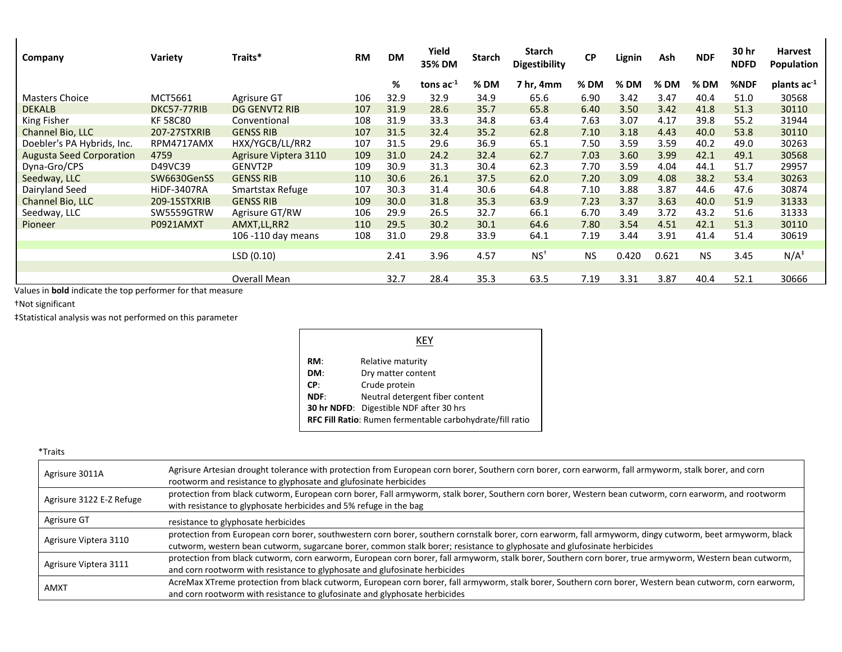| Company                         | Variety            | Traits*               | <b>RM</b> | <b>DM</b> | Yield<br>35% DM | <b>Starch</b> | Starch<br><b>Digestibility</b> | <b>CP</b> | Lignin | Ash    | <b>NDF</b> | 30 hr<br><b>NDFD</b> | <b>Harvest</b><br>Population |
|---------------------------------|--------------------|-----------------------|-----------|-----------|-----------------|---------------|--------------------------------|-----------|--------|--------|------------|----------------------|------------------------------|
|                                 |                    |                       |           | %         | tons $ac^{-1}$  | % DM          | 7 hr, 4mm                      | % DM      | $%$ DM | $%$ DM | % DM       | %NDF                 | plants $ac^{-1}$             |
| <b>Masters Choice</b>           | MCT5661            | Agrisure GT           | 106       | 32.9      | 32.9            | 34.9          | 65.6                           | 6.90      | 3.42   | 3.47   | 40.4       | 51.0                 | 30568                        |
| <b>DEKALB</b>                   | DKC57-77RIB        | DG GENVT2 RIB         | 107       | 31.9      | 28.6            | 35.7          | 65.8                           | 6.40      | 3.50   | 3.42   | 41.8       | 51.3                 | 30110                        |
| King Fisher                     | <b>KF58C80</b>     | Conventional          | 108       | 31.9      | 33.3            | 34.8          | 63.4                           | 7.63      | 3.07   | 4.17   | 39.8       | 55.2                 | 31944                        |
| Channel Bio, LLC                | 207-27STXRIB       | <b>GENSS RIB</b>      | 107       | 31.5      | 32.4            | 35.2          | 62.8                           | 7.10      | 3.18   | 4.43   | 40.0       | 53.8                 | 30110                        |
| Doebler's PA Hybrids, Inc.      | RPM4717AMX         | HXX/YGCB/LL/RR2       | 107       | 31.5      | 29.6            | 36.9          | 65.1                           | 7.50      | 3.59   | 3.59   | 40.2       | 49.0                 | 30263                        |
| <b>Augusta Seed Corporation</b> | 4759               | Agrisure Viptera 3110 | 109       | 31.0      | 24.2            | 32.4          | 62.7                           | 7.03      | 3.60   | 3.99   | 42.1       | 49.1                 | 30568                        |
| Dyna-Gro/CPS                    | D49VC39            | GENVT2P               | 109       | 30.9      | 31.3            | 30.4          | 62.3                           | 7.70      | 3.59   | 4.04   | 44.1       | 51.7                 | 29957                        |
| Seedway, LLC                    | SW6630GenSS        | <b>GENSS RIB</b>      | 110       | 30.6      | 26.1            | 37.5          | 62.0                           | 7.20      | 3.09   | 4.08   | 38.2       | 53.4                 | 30263                        |
| Dairyland Seed                  | <b>HiDF-3407RA</b> | Smartstax Refuge      | 107       | 30.3      | 31.4            | 30.6          | 64.8                           | 7.10      | 3.88   | 3.87   | 44.6       | 47.6                 | 30874                        |
| Channel Bio, LLC                | 209-15STXRIB       | <b>GENSS RIB</b>      | 109       | 30.0      | 31.8            | 35.3          | 63.9                           | 7.23      | 3.37   | 3.63   | 40.0       | 51.9                 | 31333                        |
| Seedway, LLC                    | SW5559GTRW         | Agrisure GT/RW        | 106       | 29.9      | 26.5            | 32.7          | 66.1                           | 6.70      | 3.49   | 3.72   | 43.2       | 51.6                 | 31333                        |
| Pioneer                         | P0921AMXT          | AMXT, LL, RR2         | 110       | 29.5      | 30.2            | 30.1          | 64.6                           | 7.80      | 3.54   | 4.51   | 42.1       | 51.3                 | 30110                        |
|                                 |                    | 106 -110 day means    | 108       | 31.0      | 29.8            | 33.9          | 64.1                           | 7.19      | 3.44   | 3.91   | 41.4       | 51.4                 | 30619                        |
|                                 |                    |                       |           |           |                 |               |                                |           |        |        |            |                      |                              |
|                                 |                    | LSD(0.10)             |           | 2.41      | 3.96            | 4.57          | $NS+$                          | <b>NS</b> | 0.420  | 0.621  | <b>NS</b>  | 3.45                 | $N/A^{\ddagger}$             |
|                                 |                    |                       |           |           |                 |               |                                |           |        |        |            |                      |                              |
|                                 |                    | Overall Mean          |           | 32.7      | 28.4            | 35.3          | 63.5                           | 7.19      | 3.31   | 3.87   | 40.4       | 52.1                 | 30666                        |

Values in **bold** indicate the top performer for that measure

†Not significant

‡Statistical analysis was not performed on this parameter

| KEY                                                       |                                 |  |  |  |
|-----------------------------------------------------------|---------------------------------|--|--|--|
| RM:                                                       | Relative maturity               |  |  |  |
| DM:                                                       | Dry matter content              |  |  |  |
| CP:                                                       | Crude protein                   |  |  |  |
| NDF:                                                      | Neutral detergent fiber content |  |  |  |
| <b>30 hr NDFD:</b> Digestible NDF after 30 hrs            |                                 |  |  |  |
| RFC Fill Ratio: Rumen fermentable carbohydrate/fill ratio |                                 |  |  |  |

| ×<br>i |
|--------|
|--------|

| Agrisure 3011A           | Agrisure Artesian drought tolerance with protection from European corn borer, Southern corn borer, corn earworm, fall armyworm, stalk borer, and corn<br>rootworm and resistance to glyphosate and glufosinate herbicides                                                           |
|--------------------------|-------------------------------------------------------------------------------------------------------------------------------------------------------------------------------------------------------------------------------------------------------------------------------------|
| Agrisure 3122 E-Z Refuge | protection from black cutworm, European corn borer, Fall armyworm, stalk borer, Southern corn borer, Western bean cutworm, corn earworm, and rootworm<br>with resistance to glyphosate herbicides and 5% refuge in the bag                                                          |
| Agrisure GT              | resistance to glyphosate herbicides                                                                                                                                                                                                                                                 |
| Agrisure Viptera 3110    | protection from European corn borer, southwestern corn borer, southern cornstalk borer, corn earworm, fall armyworm, dingy cutworm, beet armyworm, black<br>cutworm, western bean cutworm, sugarcane borer, common stalk borer; resistance to glyphosate and glufosinate herbicides |
| Agrisure Viptera 3111    | protection from black cutworm, corn earworm, European corn borer, fall armyworm, stalk borer, Southern corn borer, true armyworm, Western bean cutworm,<br>and corn rootworm with resistance to glyphosate and glufosinate herbicides                                               |
| <b>AMXT</b>              | AcreMax XTreme protection from black cutworm, European corn borer, fall armyworm, stalk borer, Southern corn borer, Western bean cutworm, corn earworm,<br>and corn rootworm with resistance to glufosinate and glyphosate herbicides                                               |